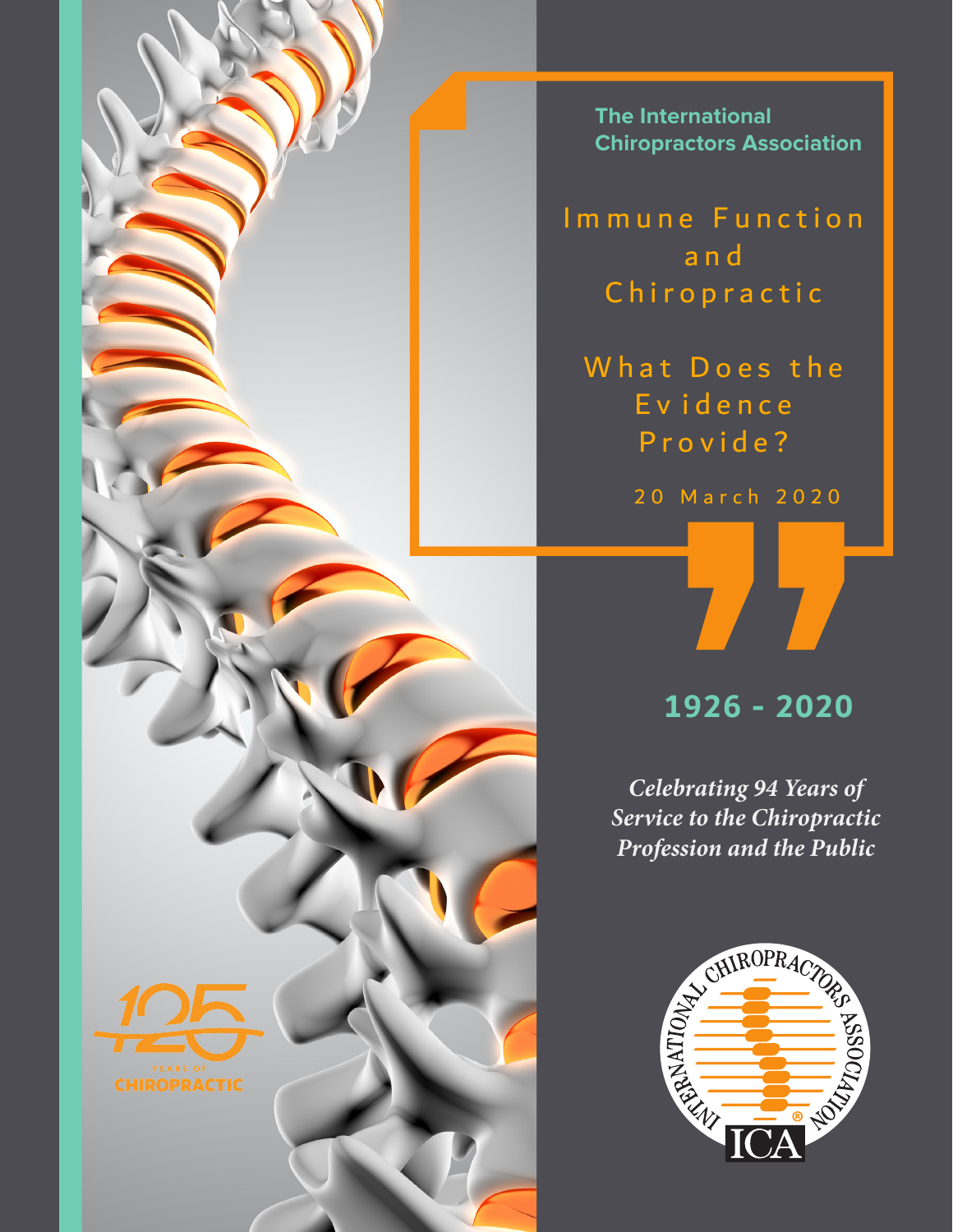**The International Chiropractors Association**

I mmune Function a n d **Chiropractic** 

What Does the E v iden ce Provide?

2 0 March 2020

# **1926 - 2020**

*Celebrating 94 Years of Service to the Chiropractic Profession and the Public*



**CHIROPRACTIC**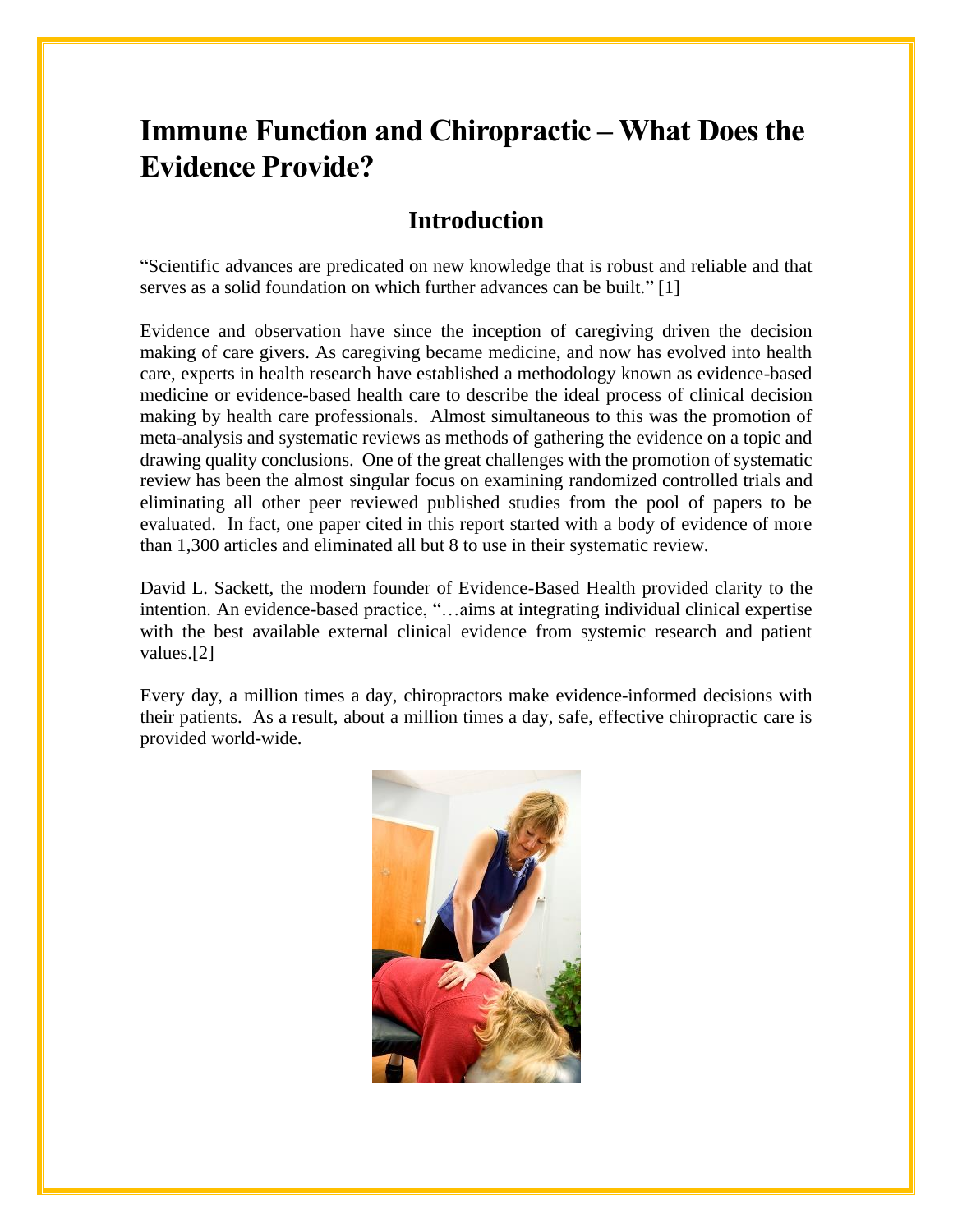# **Immune Function and Chiropractic – What Does the Evidence Provide?**

### **Introduction**

"Scientific advances are predicated on new knowledge that is robust and reliable and that serves as a solid foundation on which further advances can be built." [1]

Evidence and observation have since the inception of caregiving driven the decision making of care givers. As caregiving became medicine, and now has evolved into health care, experts in health research have established a methodology known as evidence-based medicine or evidence-based health care to describe the ideal process of clinical decision making by health care professionals. Almost simultaneous to this was the promotion of meta-analysis and systematic reviews as methods of gathering the evidence on a topic and drawing quality conclusions. One of the great challenges with the promotion of systematic review has been the almost singular focus on examining randomized controlled trials and eliminating all other peer reviewed published studies from the pool of papers to be evaluated. In fact, one paper cited in this report started with a body of evidence of more than 1,300 articles and eliminated all but 8 to use in their systematic review.

David L. Sackett, the modern founder of Evidence-Based Health provided clarity to the intention. An evidence-based practice, "…aims at integrating individual clinical expertise with the best available external clinical evidence from systemic research and patient values.[2]

Every day, a million times a day, chiropractors make evidence-informed decisions with their patients. As a result, about a million times a day, safe, effective chiropractic care is provided world-wide.

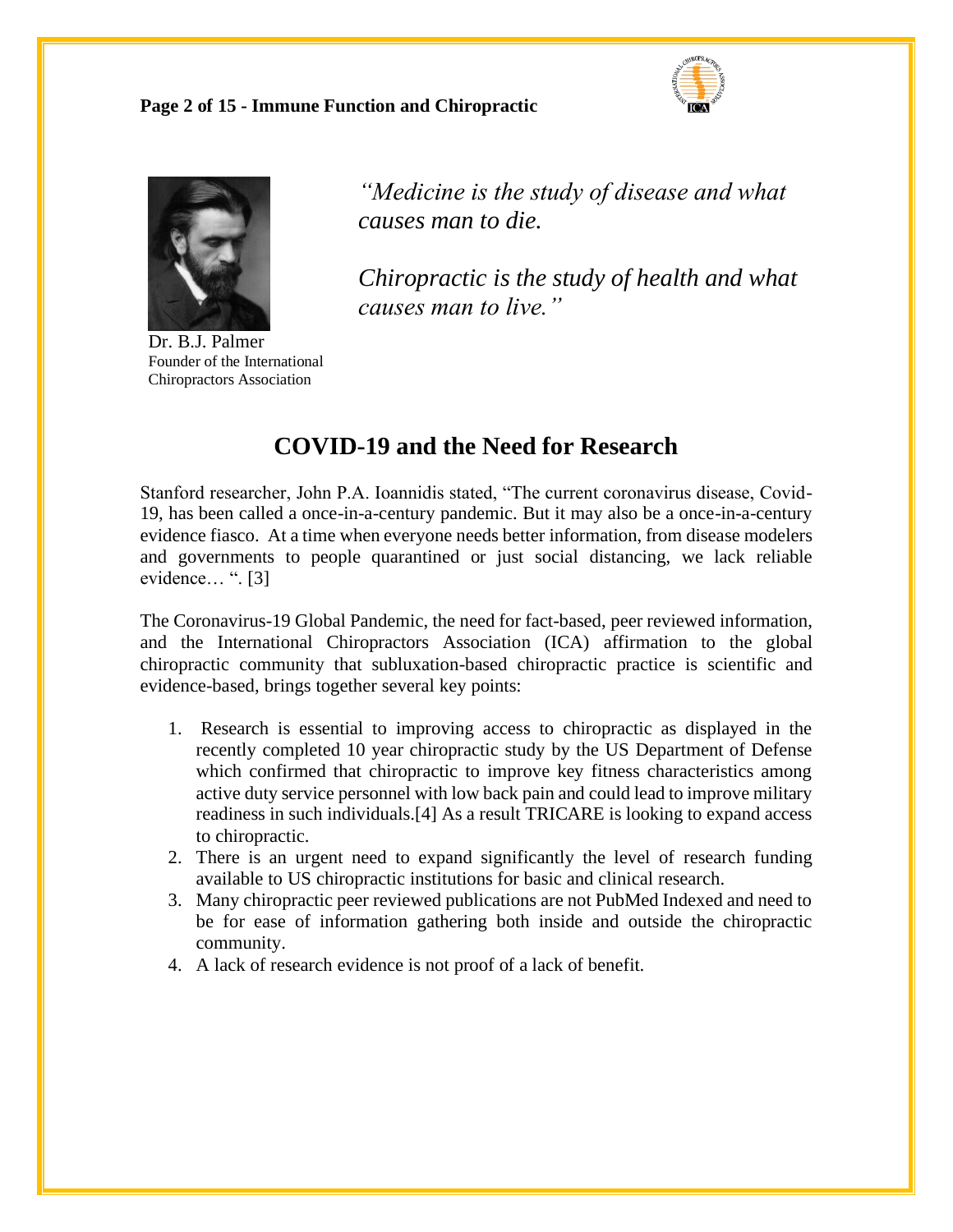**Page 2 of 15 - Immune Function and Chiropractic** 





Dr. B.J. Palmer Founder of the International Chiropractors Association

*"Medicine is the study of disease and what causes man to die.* 

*Chiropractic is the study of health and what causes man to live."* 

### **COVID-19 and the Need for Research**

Stanford researcher, John P.A. Ioannidis stated, "The current coronavirus disease, Covid-19, has been called a once-in-a-century pandemic. But it may also be a once-in-a-century evidence fiasco. At a time when everyone needs better information, from disease modelers and governments to people quarantined or just social distancing, we lack reliable evidence… ". [3]

The Coronavirus-19 Global Pandemic, the need for fact-based, peer reviewed information, and the International Chiropractors Association (ICA) affirmation to the global chiropractic community that subluxation-based chiropractic practice is scientific and evidence-based, brings together several key points:

- 1. Research is essential to improving access to chiropractic as displayed in the recently completed 10 year chiropractic study by the US Department of Defense which confirmed that chiropractic to improve key fitness characteristics among active duty service personnel with low back pain and could lead to improve military readiness in such individuals.[4] As a result TRICARE is looking to expand access to chiropractic.
- 2. There is an urgent need to expand significantly the level of research funding available to US chiropractic institutions for basic and clinical research.
- 3. Many chiropractic peer reviewed publications are not PubMed Indexed and need to be for ease of information gathering both inside and outside the chiropractic community.
- 4. A lack of research evidence is not proof of a lack of benefit.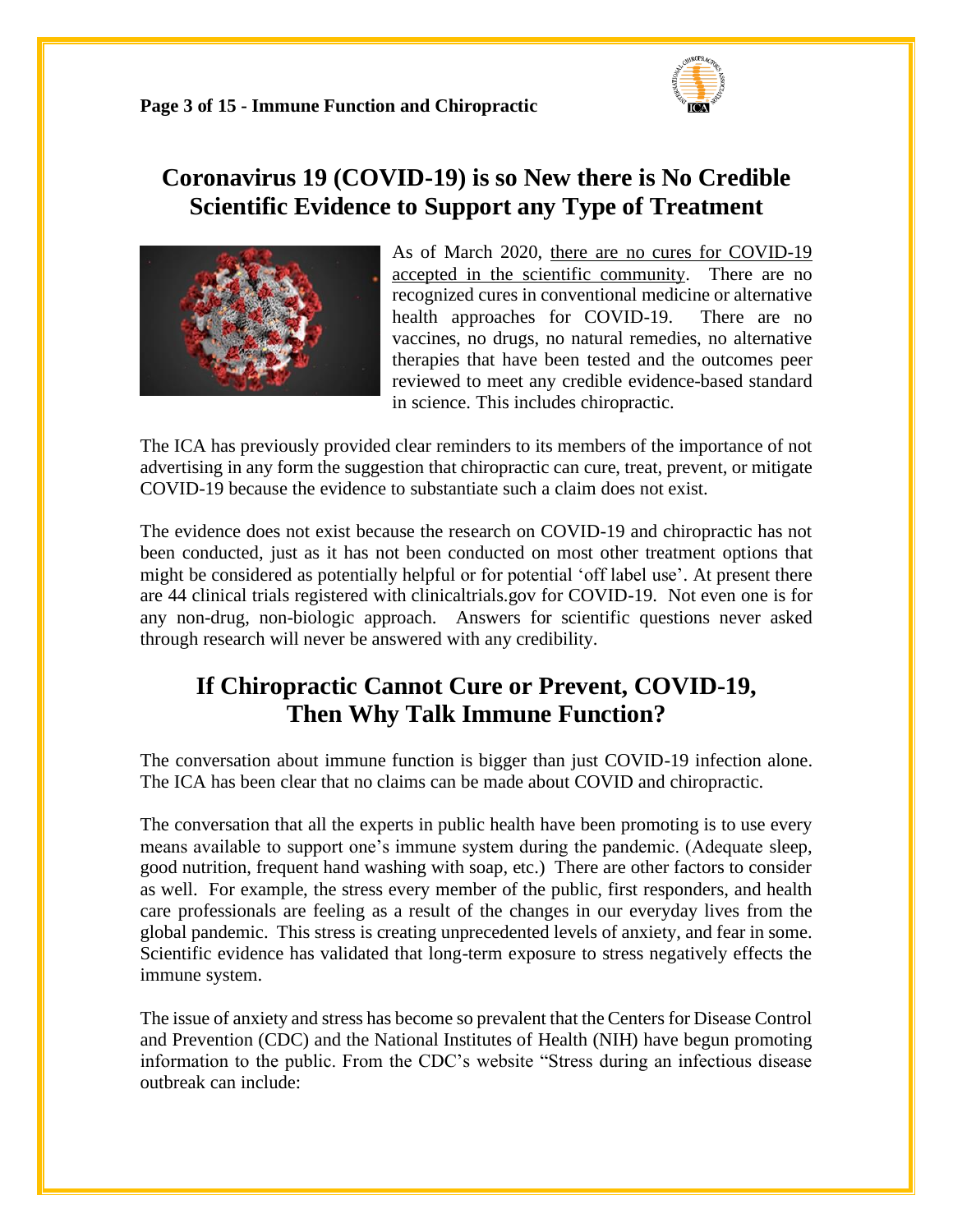

# **Coronavirus 19 (COVID-19) is so New there is No Credible Scientific Evidence to Support any Type of Treatment**



As of March 2020, there are no cures for COVID-19 accepted in the scientific community. There are no recognized cures in conventional medicine or alternative health approaches for COVID-19. There are no vaccines, no drugs, no natural remedies, no alternative therapies that have been tested and the outcomes peer reviewed to meet any credible evidence-based standard in science. This includes chiropractic.

The ICA has previously provided clear reminders to its members of the importance of not advertising in any form the suggestion that chiropractic can cure, treat, prevent, or mitigate COVID-19 because the evidence to substantiate such a claim does not exist.

The evidence does not exist because the research on COVID-19 and chiropractic has not been conducted, just as it has not been conducted on most other treatment options that might be considered as potentially helpful or for potential 'off label use'. At present there are 44 clinical trials registered with clinicaltrials.gov for COVID-19. Not even one is for any non-drug, non-biologic approach. Answers for scientific questions never asked through research will never be answered with any credibility.

## **If Chiropractic Cannot Cure or Prevent, COVID-19, Then Why Talk Immune Function?**

The conversation about immune function is bigger than just COVID-19 infection alone. The ICA has been clear that no claims can be made about COVID and chiropractic.

The conversation that all the experts in public health have been promoting is to use every means available to support one's immune system during the pandemic. (Adequate sleep, good nutrition, frequent hand washing with soap, etc.) There are other factors to consider as well. For example, the stress every member of the public, first responders, and health care professionals are feeling as a result of the changes in our everyday lives from the global pandemic. This stress is creating unprecedented levels of anxiety, and fear in some. Scientific evidence has validated that long-term exposure to stress negatively effects the immune system.

The issue of anxiety and stress has become so prevalent that the Centers for Disease Control and Prevention (CDC) and the National Institutes of Health (NIH) have begun promoting information to the public. From the CDC's website "Stress during an infectious disease outbreak can include: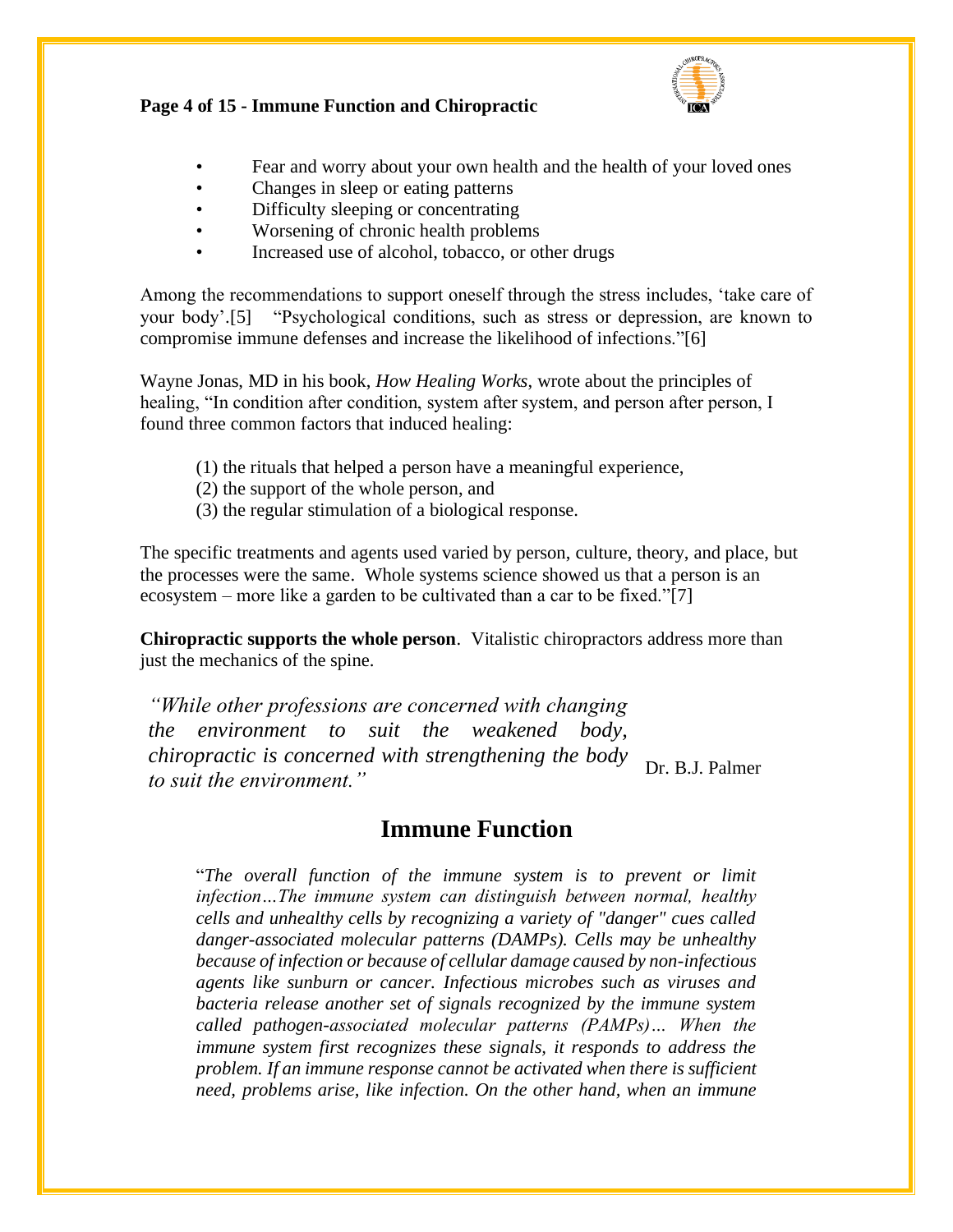

#### **Page 4 of 15 - Immune Function and Chiropractic**

- Fear and worry about your own health and the health of your loved ones
- Changes in sleep or eating patterns
- Difficulty sleeping or concentrating
- Worsening of chronic health problems
- Increased use of alcohol, tobacco, or other drugs

Among the recommendations to support oneself through the stress includes, 'take care of your body'.[5] "Psychological conditions, such as stress or depression, are known to compromise immune defenses and increase the likelihood of infections."[6]

Wayne Jonas, MD in his book, *How Healing Works*, wrote about the principles of healing, "In condition after condition, system after system, and person after person, I found three common factors that induced healing:

- (1) the rituals that helped a person have a meaningful experience,
- (2) the support of the whole person, and
- (3) the regular stimulation of a biological response.

The specific treatments and agents used varied by person, culture, theory, and place, but the processes were the same. Whole systems science showed us that a person is an ecosystem – more like a garden to be cultivated than a car to be fixed."[7]

**Chiropractic supports the whole person**. Vitalistic chiropractors address more than just the mechanics of the spine.

*"While other professions are concerned with changing the environment to suit the weakened body, chiropractic is concerned with strengthening the body the practice is concerned with strengthening the body* Dr. B.J. Palmer to suit the environment."

### **Immune Function**

"*The overall function of the immune system is to prevent or limit infection…The immune system can distinguish between normal, healthy cells and unhealthy cells by recognizing a variety of "danger" cues called danger-associated molecular patterns (DAMPs). Cells may be unhealthy because of infection or because of cellular damage caused by non-infectious agents like sunburn or cancer. Infectious microbes such as viruses and bacteria release another set of signals recognized by the immune system called pathogen-associated molecular patterns (PAMPs)… When the immune system first recognizes these signals, it responds to address the problem. If an immune response cannot be activated when there is sufficient need, problems arise, like infection. On the other hand, when an immune*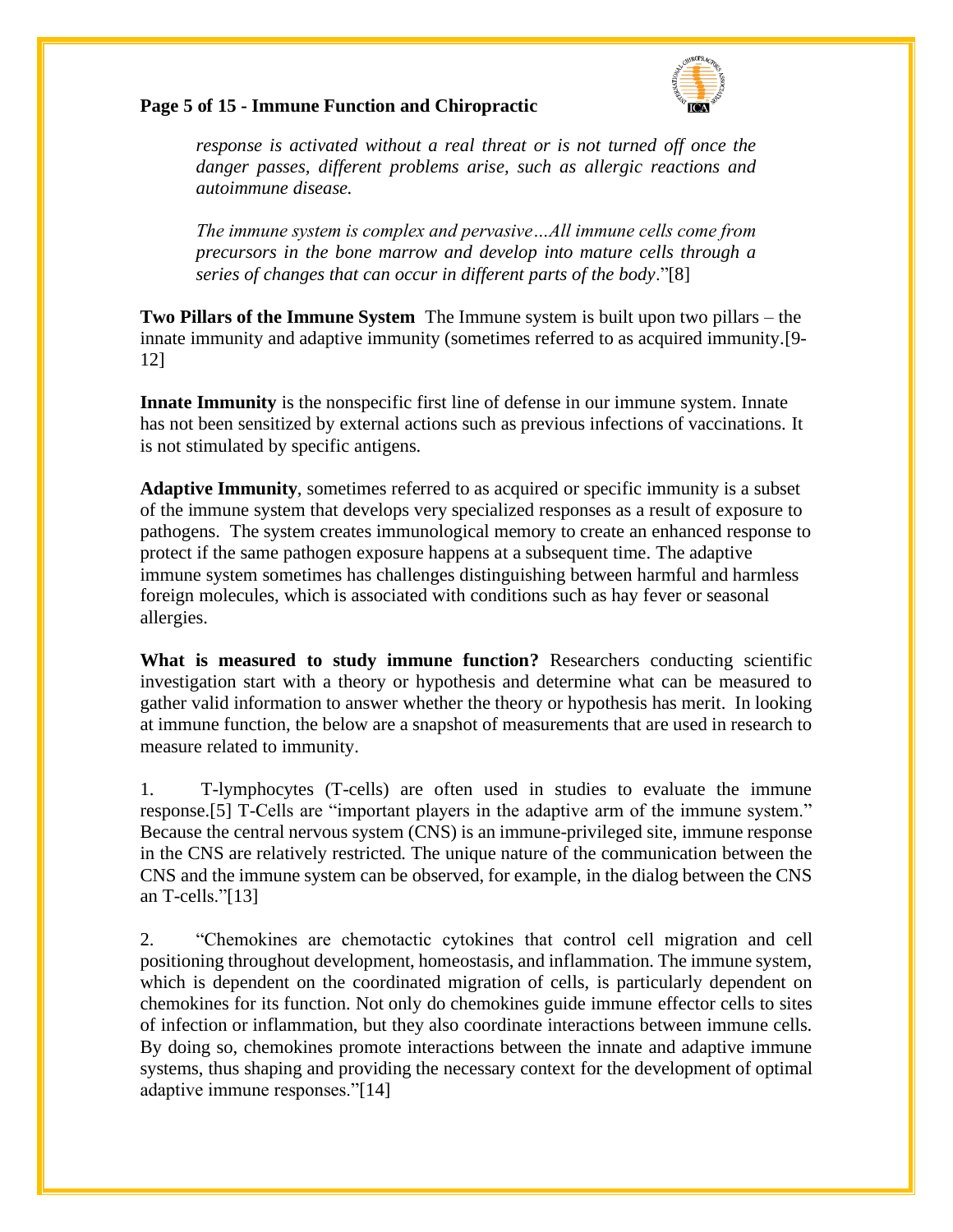

#### **Page 5 of 15 - Immune Function and Chiropractic**

*response is activated without a real threat or is not turned off once the danger passes, different problems arise, such as allergic reactions and autoimmune disease.* 

*The immune system is complex and pervasive…All immune cells come from precursors in the bone marrow and develop into mature cells through a series of changes that can occur in different parts of the body*."[8]

**Two Pillars of the Immune System** The Immune system is built upon two pillars – the innate immunity and adaptive immunity (sometimes referred to as acquired immunity.[9- 12]

**Innate Immunity** is the nonspecific first line of defense in our immune system. Innate has not been sensitized by external actions such as previous infections of vaccinations. It is not stimulated by specific antigens.

**Adaptive Immunity**, sometimes referred to as acquired or specific immunity is a subset of the immune system that develops very specialized responses as a result of exposure to pathogens. The system creates immunological memory to create an enhanced response to protect if the same pathogen exposure happens at a subsequent time. The adaptive immune system sometimes has challenges distinguishing between harmful and harmless foreign molecules, which is associated with conditions such as hay fever or seasonal allergies.

**What is measured to study immune function?** Researchers conducting scientific investigation start with a theory or hypothesis and determine what can be measured to gather valid information to answer whether the theory or hypothesis has merit. In looking at immune function, the below are a snapshot of measurements that are used in research to measure related to immunity.

1. T-lymphocytes (T-cells) are often used in studies to evaluate the immune response.[5] T-Cells are "important players in the adaptive arm of the immune system." Because the central nervous system (CNS) is an immune-privileged site, immune response in the CNS are relatively restricted. The unique nature of the communication between the CNS and the immune system can be observed, for example, in the dialog between the CNS an T-cells."[13]

2. "Chemokines are chemotactic cytokines that control cell migration and cell positioning throughout development, homeostasis, and inflammation. The immune system, which is dependent on the coordinated migration of cells, is particularly dependent on chemokines for its function. Not only do chemokines guide immune effector cells to sites of infection or inflammation, but they also coordinate interactions between immune cells. By doing so, chemokines promote interactions between the innate and adaptive immune systems, thus shaping and providing the necessary context for the development of optimal adaptive immune responses."[14]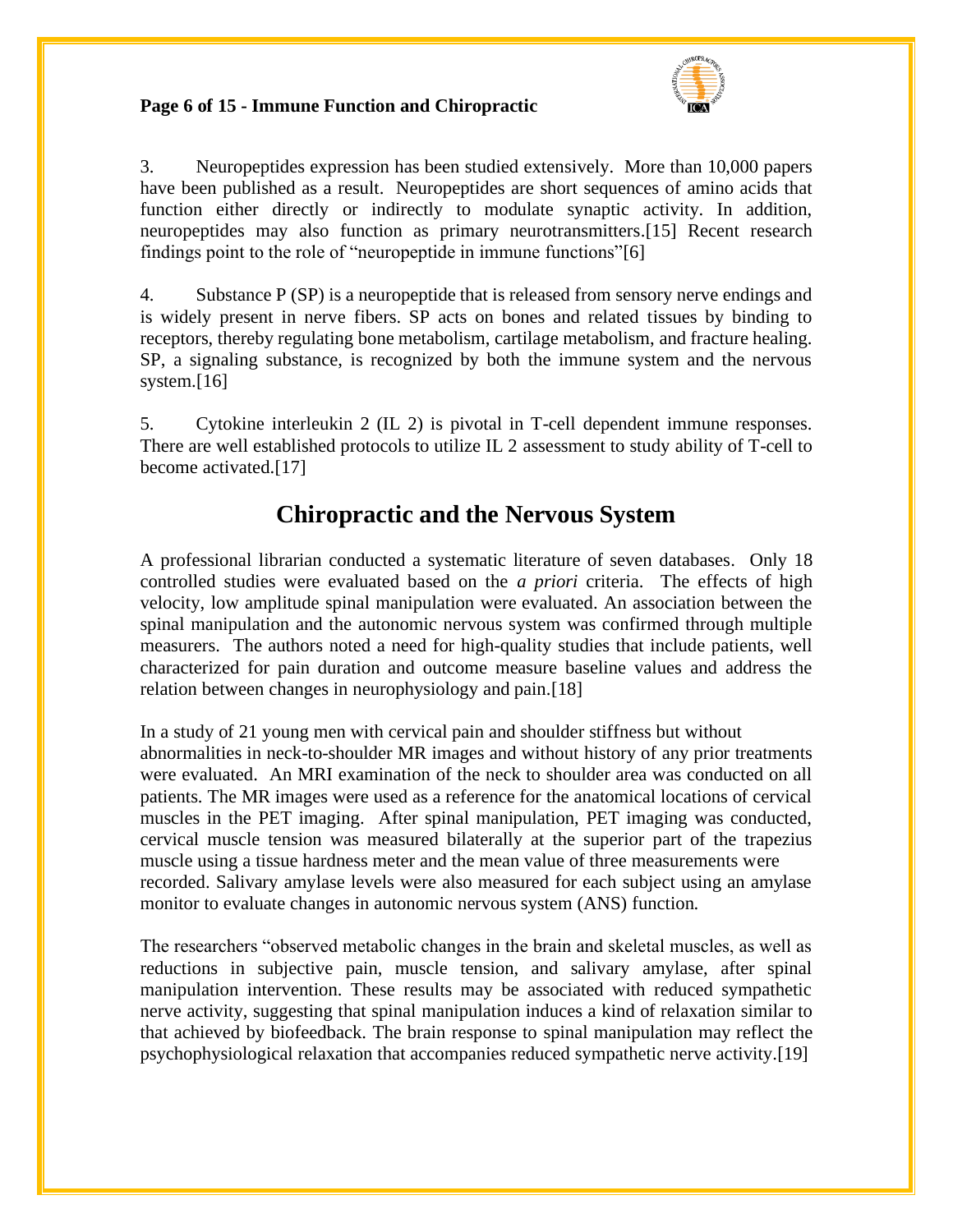#### **Page 6 of 15 - Immune Function and Chiropractic**



3. Neuropeptides expression has been studied extensively. More than 10,000 papers have been published as a result. Neuropeptides are short sequences of amino acids that function either directly or indirectly to modulate synaptic activity. In addition, neuropeptides may also function as primary neurotransmitters.[15] Recent research findings point to the role of "neuropeptide in immune functions"[6]

4. Substance P (SP) is a neuropeptide that is released from sensory nerve endings and is widely present in nerve fibers. SP acts on bones and related tissues by binding to receptors, thereby regulating bone metabolism, cartilage metabolism, and fracture healing. SP, a signaling substance, is recognized by both the immune system and the nervous system.[16]

5. Cytokine interleukin 2 (IL 2) is pivotal in T-cell dependent immune responses. There are well established protocols to utilize IL 2 assessment to study ability of T-cell to become activated.[17]

## **Chiropractic and the Nervous System**

A professional librarian conducted a systematic literature of seven databases. Only 18 controlled studies were evaluated based on the *a priori* criteria.The effects of high velocity, low amplitude spinal manipulation were evaluated. An association between the spinal manipulation and the autonomic nervous system was confirmed through multiple measurers. The authors noted a need for high-quality studies that include patients, well characterized for pain duration and outcome measure baseline values and address the relation between changes in neurophysiology and pain.[18]

In a study of 21 young men with cervical pain and shoulder stiffness but without abnormalities in neck-to-shoulder MR images and without history of any prior treatments were evaluated. An MRI examination of the neck to shoulder area was conducted on all patients. The MR images were used as a reference for the anatomical locations of cervical muscles in the PET imaging. After spinal manipulation, PET imaging was conducted, cervical muscle tension was measured bilaterally at the superior part of the trapezius muscle using a tissue hardness meter and the mean value of three measurements were recorded. Salivary amylase levels were also measured for each subject using an amylase monitor to evaluate changes in autonomic nervous system (ANS) function.

The researchers "observed metabolic changes in the brain and skeletal muscles, as well as reductions in subjective pain, muscle tension, and salivary amylase, after spinal manipulation intervention. These results may be associated with reduced sympathetic nerve activity, suggesting that spinal manipulation induces a kind of relaxation similar to that achieved by biofeedback. The brain response to spinal manipulation may reflect the psychophysiological relaxation that accompanies reduced sympathetic nerve activity.[19]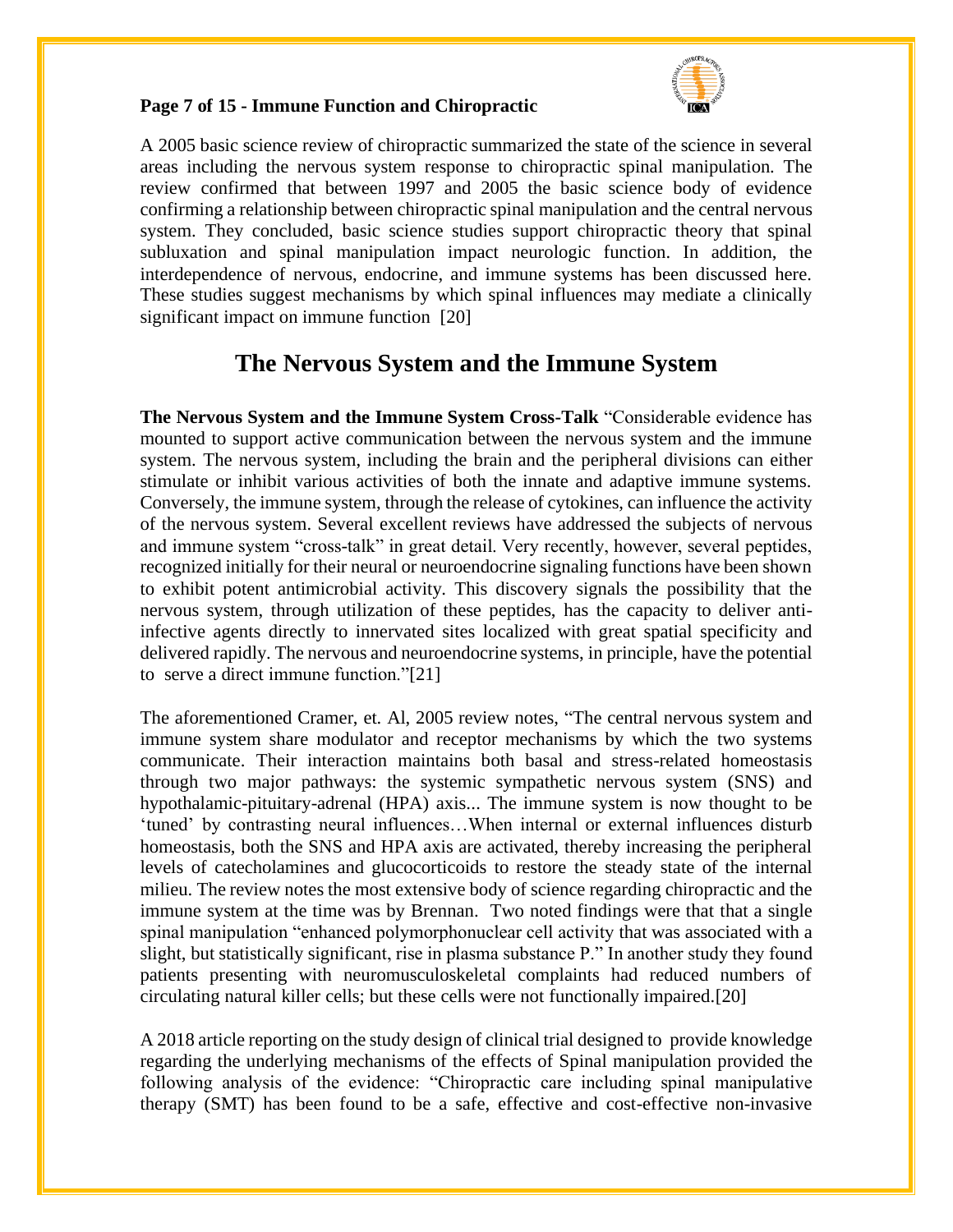

#### **Page 7 of 15 - Immune Function and Chiropractic**

A 2005 basic science review of chiropractic summarized the state of the science in several areas including the nervous system response to chiropractic spinal manipulation. The review confirmed that between 1997 and 2005 the basic science body of evidence confirming a relationship between chiropractic spinal manipulation and the central nervous system. They concluded, basic science studies support chiropractic theory that spinal subluxation and spinal manipulation impact neurologic function. In addition, the interdependence of nervous, endocrine, and immune systems has been discussed here. These studies suggest mechanisms by which spinal influences may mediate a clinically significant impact on immune function [20]

### **The Nervous System and the Immune System**

**The Nervous System and the Immune System Cross-Talk** "Considerable evidence has mounted to support active communication between the nervous system and the immune system. The nervous system, including the brain and the peripheral divisions can either stimulate or inhibit various activities of both the innate and adaptive immune systems. Conversely, the immune system, through the release of cytokines, can influence the activity of the nervous system. Several excellent reviews have addressed the subjects of nervous and immune system "cross-talk" in great detail. Very recently, however, several peptides, recognized initially for their neural or neuroendocrine signaling functions have been shown to exhibit potent antimicrobial activity. This discovery signals the possibility that the nervous system, through utilization of these peptides, has the capacity to deliver antiinfective agents directly to innervated sites localized with great spatial specificity and delivered rapidly. The nervous and neuroendocrine systems, in principle, have the potential to serve a direct immune function."[21]

The aforementioned Cramer, et. Al, 2005 review notes, "The central nervous system and immune system share modulator and receptor mechanisms by which the two systems communicate. Their interaction maintains both basal and stress-related homeostasis through two major pathways: the systemic sympathetic nervous system (SNS) and hypothalamic-pituitary-adrenal (HPA) axis... The immune system is now thought to be 'tuned' by contrasting neural influences…When internal or external influences disturb homeostasis, both the SNS and HPA axis are activated, thereby increasing the peripheral levels of catecholamines and glucocorticoids to restore the steady state of the internal milieu. The review notes the most extensive body of science regarding chiropractic and the immune system at the time was by Brennan. Two noted findings were that that a single spinal manipulation "enhanced polymorphonuclear cell activity that was associated with a slight, but statistically significant, rise in plasma substance P." In another study they found patients presenting with neuromusculoskeletal complaints had reduced numbers of circulating natural killer cells; but these cells were not functionally impaired.[20]

A 2018 article reporting on the study design of clinical trial designed to provide knowledge regarding the underlying mechanisms of the effects of Spinal manipulation provided the following analysis of the evidence: "Chiropractic care including spinal manipulative therapy (SMT) has been found to be a safe, effective and cost-effective non-invasive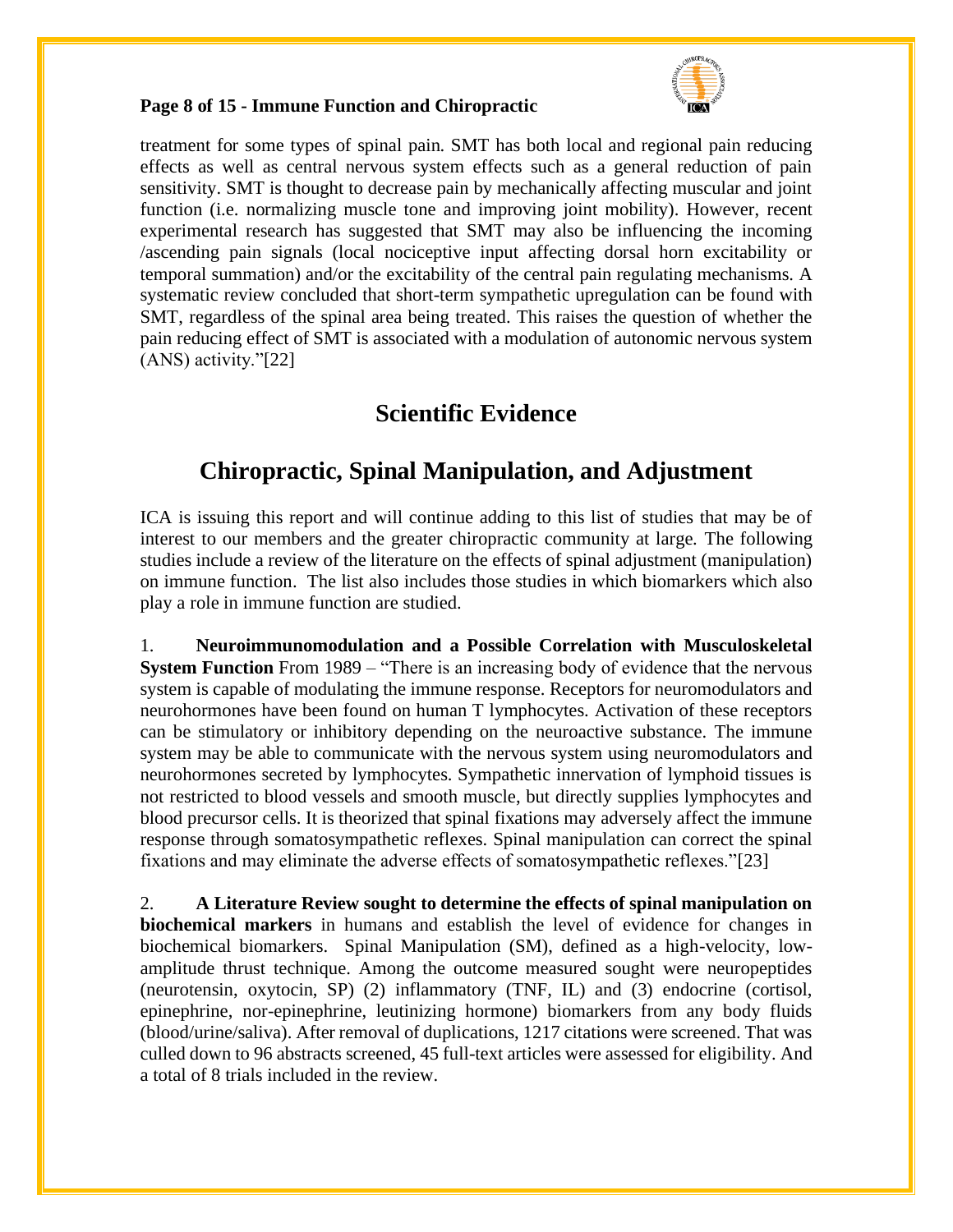

#### **Page 8 of 15 - Immune Function and Chiropractic**

treatment for some types of spinal pain. SMT has both local and regional pain reducing effects as well as central nervous system effects such as a general reduction of pain sensitivity. SMT is thought to decrease pain by mechanically affecting muscular and joint function (i.e. normalizing muscle tone and improving joint mobility). However, recent experimental research has suggested that SMT may also be influencing the incoming /ascending pain signals (local nociceptive input affecting dorsal horn excitability or temporal summation) and/or the excitability of the central pain regulating mechanisms. A systematic review concluded that short-term sympathetic upregulation can be found with SMT, regardless of the spinal area being treated. This raises the question of whether the pain reducing effect of SMT is associated with a modulation of autonomic nervous system (ANS) activity."[22]

### **Scientific Evidence**

## **Chiropractic, Spinal Manipulation, and Adjustment**

ICA is issuing this report and will continue adding to this list of studies that may be of interest to our members and the greater chiropractic community at large. The following studies include a review of the literature on the effects of spinal adjustment (manipulation) on immune function. The list also includes those studies in which biomarkers which also play a role in immune function are studied.

1. **Neuroimmunomodulation and a Possible Correlation with Musculoskeletal System Function** From 1989 – "There is an increasing body of evidence that the nervous system is capable of modulating the immune response. Receptors for neuromodulators and neurohormones have been found on human T lymphocytes. Activation of these receptors can be stimulatory or inhibitory depending on the neuroactive substance. The immune system may be able to communicate with the nervous system using neuromodulators and neurohormones secreted by lymphocytes. Sympathetic innervation of lymphoid tissues is not restricted to blood vessels and smooth muscle, but directly supplies lymphocytes and blood precursor cells. It is theorized that spinal fixations may adversely affect the immune response through somatosympathetic reflexes. Spinal manipulation can correct the spinal fixations and may eliminate the adverse effects of somatosympathetic reflexes."[23]

2. **A Literature Review sought to determine the effects of spinal manipulation on biochemical markers** in humans and establish the level of evidence for changes in biochemical biomarkers. Spinal Manipulation (SM), defined as a high-velocity, lowamplitude thrust technique. Among the outcome measured sought were neuropeptides (neurotensin, oxytocin, SP) (2) inflammatory (TNF, IL) and (3) endocrine (cortisol, epinephrine, nor-epinephrine, leutinizing hormone) biomarkers from any body fluids (blood/urine/saliva). After removal of duplications, 1217 citations were screened. That was culled down to 96 abstracts screened, 45 full-text articles were assessed for eligibility. And a total of 8 trials included in the review.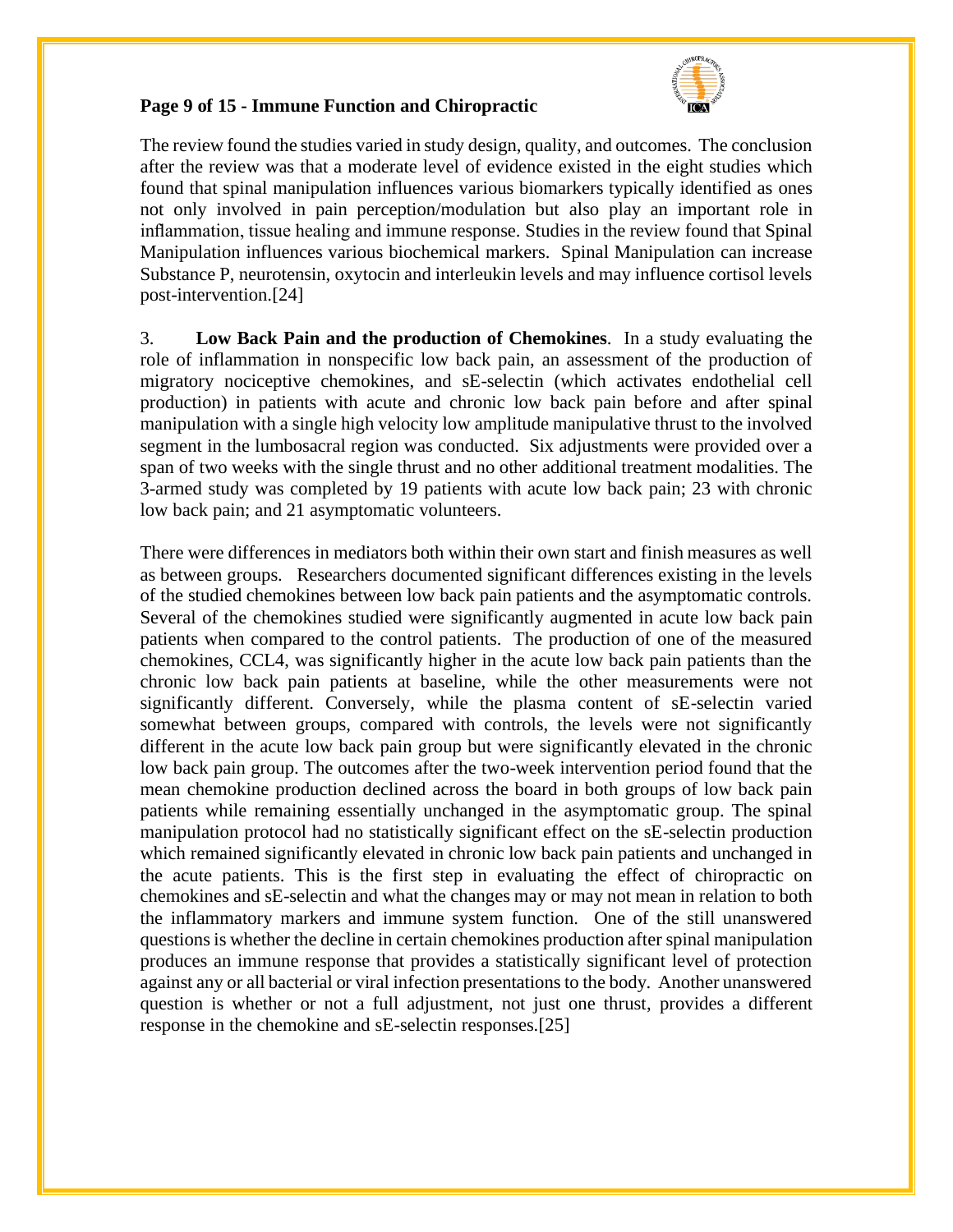

#### **Page 9 of 15 - Immune Function and Chiropractic**

The review found the studies varied in study design, quality, and outcomes. The conclusion after the review was that a moderate level of evidence existed in the eight studies which found that spinal manipulation influences various biomarkers typically identified as ones not only involved in pain perception/modulation but also play an important role in inflammation, tissue healing and immune response. Studies in the review found that Spinal Manipulation influences various biochemical markers. Spinal Manipulation can increase Substance P, neurotensin, oxytocin and interleukin levels and may influence cortisol levels post-intervention.[24]

3. **Low Back Pain and the production of Chemokines**. In a study evaluating the role of inflammation in nonspecific low back pain, an assessment of the production of migratory nociceptive chemokines, and sE-selectin (which activates endothelial cell production) in patients with acute and chronic low back pain before and after spinal manipulation with a single high velocity low amplitude manipulative thrust to the involved segment in the lumbosacral region was conducted. Six adjustments were provided over a span of two weeks with the single thrust and no other additional treatment modalities. The 3-armed study was completed by 19 patients with acute low back pain; 23 with chronic low back pain; and 21 asymptomatic volunteers.

There were differences in mediators both within their own start and finish measures as well as between groups. Researchers documented significant differences existing in the levels of the studied chemokines between low back pain patients and the asymptomatic controls. Several of the chemokines studied were significantly augmented in acute low back pain patients when compared to the control patients. The production of one of the measured chemokines, CCL4, was significantly higher in the acute low back pain patients than the chronic low back pain patients at baseline, while the other measurements were not significantly different. Conversely, while the plasma content of sE-selectin varied somewhat between groups, compared with controls, the levels were not significantly different in the acute low back pain group but were significantly elevated in the chronic low back pain group. The outcomes after the two-week intervention period found that the mean chemokine production declined across the board in both groups of low back pain patients while remaining essentially unchanged in the asymptomatic group. The spinal manipulation protocol had no statistically significant effect on the sE-selectin production which remained significantly elevated in chronic low back pain patients and unchanged in the acute patients. This is the first step in evaluating the effect of chiropractic on chemokines and sE-selectin and what the changes may or may not mean in relation to both the inflammatory markers and immune system function. One of the still unanswered questions is whether the decline in certain chemokines production after spinal manipulation produces an immune response that provides a statistically significant level of protection against any or all bacterial or viral infection presentations to the body. Another unanswered question is whether or not a full adjustment, not just one thrust, provides a different response in the chemokine and sE-selectin responses.[25]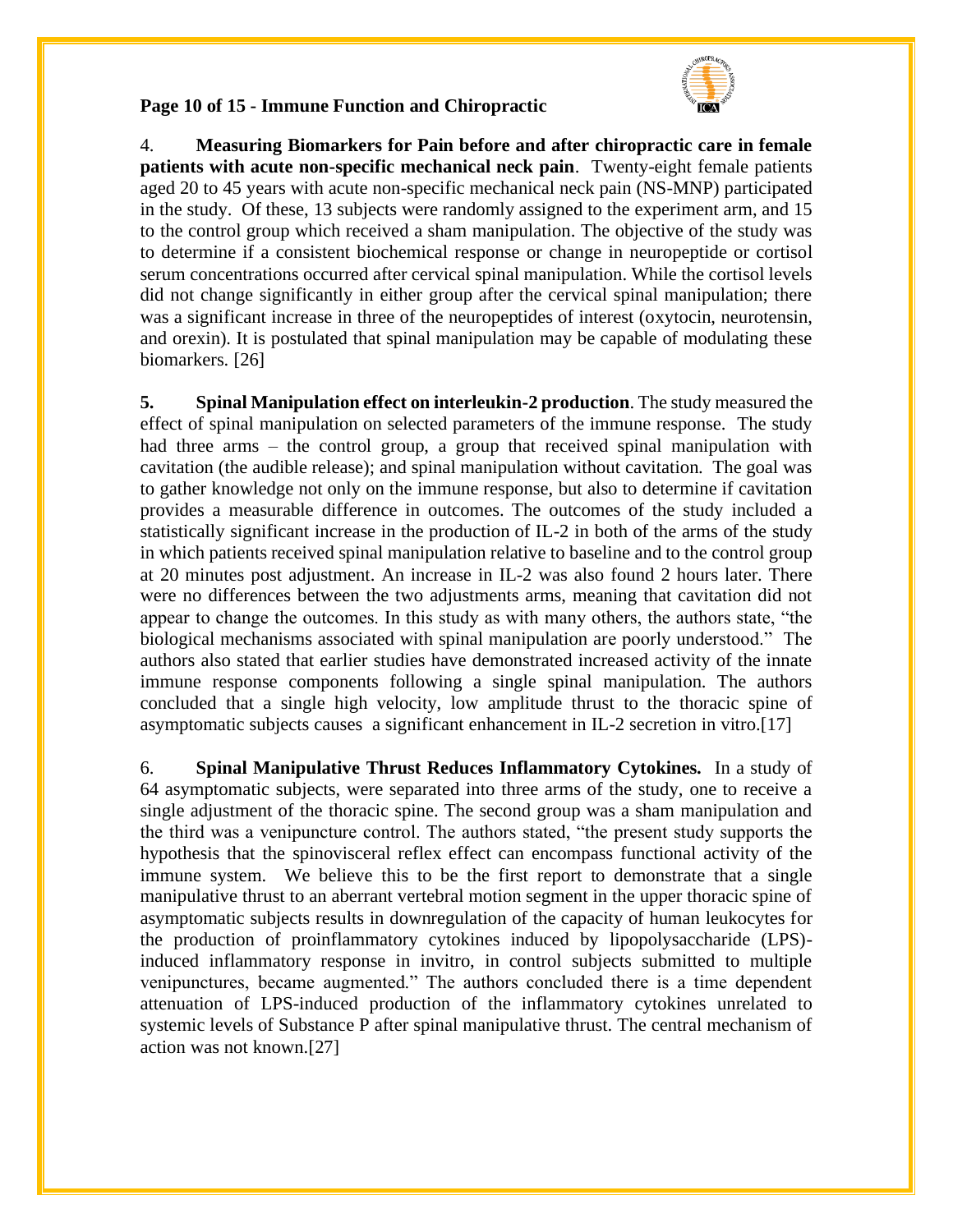

#### **Page 10 of 15 - Immune Function and Chiropractic**

4. **Measuring Biomarkers for Pain before and after chiropractic care in female patients with acute non-specific mechanical neck pain**. Twenty-eight female patients aged 20 to 45 years with acute non-specific mechanical neck pain (NS-MNP) participated in the study. Of these, 13 subjects were randomly assigned to the experiment arm, and 15 to the control group which received a sham manipulation. The objective of the study was to determine if a consistent biochemical response or change in neuropeptide or cortisol serum concentrations occurred after cervical spinal manipulation. While the cortisol levels did not change significantly in either group after the cervical spinal manipulation; there was a significant increase in three of the neuropeptides of interest (oxytocin, neurotensin, and orexin). It is postulated that spinal manipulation may be capable of modulating these biomarkers. [26]

**5. Spinal Manipulation effect on interleukin-2 production**. The study measured the effect of spinal manipulation on selected parameters of the immune response. The study had three arms – the control group, a group that received spinal manipulation with cavitation (the audible release); and spinal manipulation without cavitation. The goal was to gather knowledge not only on the immune response, but also to determine if cavitation provides a measurable difference in outcomes. The outcomes of the study included a statistically significant increase in the production of IL-2 in both of the arms of the study in which patients received spinal manipulation relative to baseline and to the control group at 20 minutes post adjustment. An increase in IL-2 was also found 2 hours later. There were no differences between the two adjustments arms, meaning that cavitation did not appear to change the outcomes. In this study as with many others, the authors state, "the biological mechanisms associated with spinal manipulation are poorly understood." The authors also stated that earlier studies have demonstrated increased activity of the innate immune response components following a single spinal manipulation. The authors concluded that a single high velocity, low amplitude thrust to the thoracic spine of asymptomatic subjects causes a significant enhancement in IL-2 secretion in vitro.[17]

6. **Spinal Manipulative Thrust Reduces Inflammatory Cytokines.** In a study of 64 asymptomatic subjects, were separated into three arms of the study, one to receive a single adjustment of the thoracic spine. The second group was a sham manipulation and the third was a venipuncture control. The authors stated, "the present study supports the hypothesis that the spinovisceral reflex effect can encompass functional activity of the immune system. We believe this to be the first report to demonstrate that a single manipulative thrust to an aberrant vertebral motion segment in the upper thoracic spine of asymptomatic subjects results in downregulation of the capacity of human leukocytes for the production of proinflammatory cytokines induced by lipopolysaccharide (LPS) induced inflammatory response in invitro, in control subjects submitted to multiple venipunctures, became augmented." The authors concluded there is a time dependent attenuation of LPS-induced production of the inflammatory cytokines unrelated to systemic levels of Substance P after spinal manipulative thrust. The central mechanism of action was not known.[27]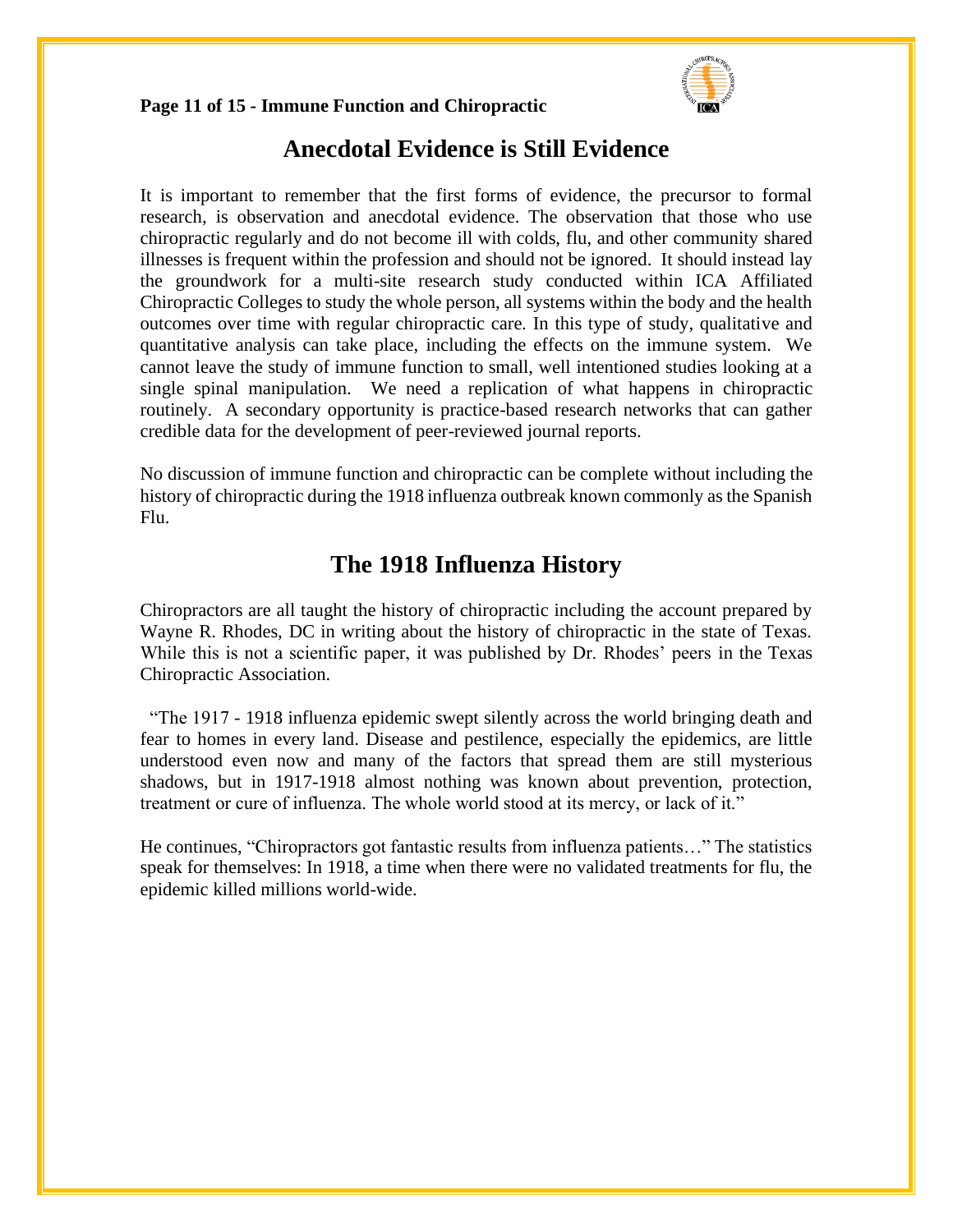

#### **Page 11 of 15 - Immune Function and Chiropractic**

### **Anecdotal Evidence is Still Evidence**

It is important to remember that the first forms of evidence, the precursor to formal research, is observation and anecdotal evidence. The observation that those who use chiropractic regularly and do not become ill with colds, flu, and other community shared illnesses is frequent within the profession and should not be ignored. It should instead lay the groundwork for a multi-site research study conducted within ICA Affiliated Chiropractic Colleges to study the whole person, all systems within the body and the health outcomes over time with regular chiropractic care. In this type of study, qualitative and quantitative analysis can take place, including the effects on the immune system. We cannot leave the study of immune function to small, well intentioned studies looking at a single spinal manipulation. We need a replication of what happens in chiropractic routinely. A secondary opportunity is practice-based research networks that can gather credible data for the development of peer-reviewed journal reports.

No discussion of immune function and chiropractic can be complete without including the history of chiropractic during the 1918 influenza outbreak known commonly as the Spanish Flu.

## **The 1918 Influenza History**

Chiropractors are all taught the history of chiropractic including the account prepared by Wayne R. Rhodes, DC in writing about the history of chiropractic in the state of Texas. While this is not a scientific paper, it was published by Dr. Rhodes' peers in the Texas Chiropractic Association.

 "The 1917 - 1918 influenza epidemic swept silently across the world bringing death and fear to homes in every land. Disease and pestilence, especially the epidemics, are little understood even now and many of the factors that spread them are still mysterious shadows, but in 1917-1918 almost nothing was known about prevention, protection, treatment or cure of influenza. The whole world stood at its mercy, or lack of it."

He continues, "Chiropractors got fantastic results from influenza patients…" The statistics speak for themselves: In 1918, a time when there were no validated treatments for flu, the epidemic killed millions world-wide.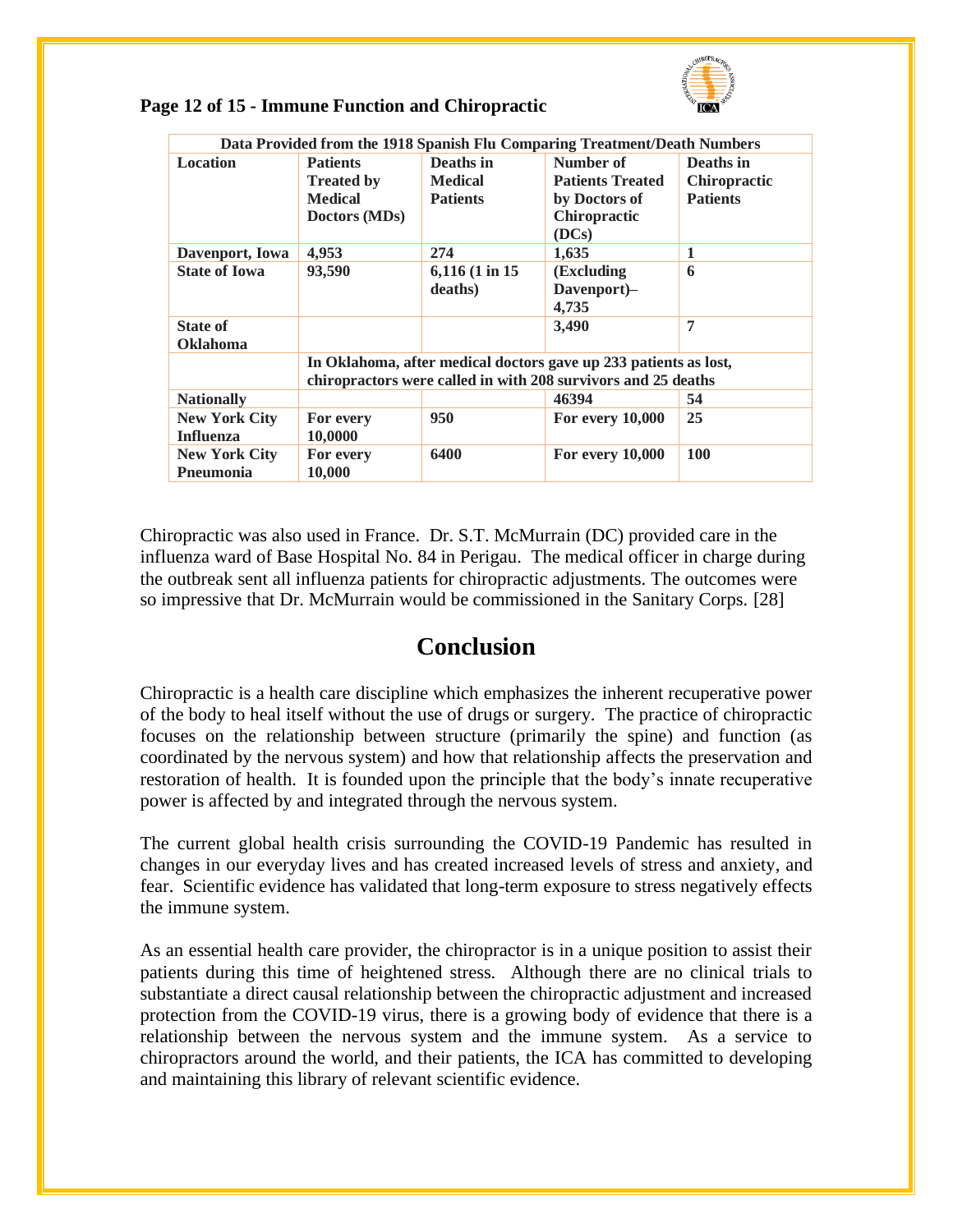

| Data Provided from the 1918 Spanish Flu Comparing Treatment/Death Numbers |                                                                                                                                   |                  |                         |                     |  |
|---------------------------------------------------------------------------|-----------------------------------------------------------------------------------------------------------------------------------|------------------|-------------------------|---------------------|--|
| <b>Location</b>                                                           | <b>Patients</b>                                                                                                                   | Deaths in        | Number of               | Deaths in           |  |
|                                                                           | <b>Treated by</b>                                                                                                                 | <b>Medical</b>   | <b>Patients Treated</b> | <b>Chiropractic</b> |  |
|                                                                           | <b>Medical</b>                                                                                                                    | <b>Patients</b>  | by Doctors of           | <b>Patients</b>     |  |
|                                                                           | Doctors (MDs)                                                                                                                     |                  | Chiropractic<br>(DCs)   |                     |  |
| Davenport, Iowa                                                           | 4,953                                                                                                                             | 274              | 1,635                   | 1                   |  |
| <b>State of Iowa</b>                                                      | 93,590                                                                                                                            | $6,116$ (1 in 15 | (Excluding              | 6                   |  |
|                                                                           |                                                                                                                                   | deaths)          | Davenport)-             |                     |  |
|                                                                           |                                                                                                                                   |                  | 4,735                   |                     |  |
| <b>State of</b>                                                           |                                                                                                                                   |                  | 3,490                   | 7                   |  |
| <b>Oklahoma</b>                                                           |                                                                                                                                   |                  |                         |                     |  |
|                                                                           | In Oklahoma, after medical doctors gave up 233 patients as lost,<br>chiropractors were called in with 208 survivors and 25 deaths |                  |                         |                     |  |
| <b>Nationally</b>                                                         |                                                                                                                                   |                  | 46394                   | 54                  |  |
| <b>New York City</b>                                                      | For every                                                                                                                         | 950              | <b>For every 10,000</b> | 25                  |  |
| <b>Influenza</b>                                                          | 10,0000                                                                                                                           |                  |                         |                     |  |
|                                                                           |                                                                                                                                   | 6400             |                         | 100                 |  |
| <b>New York City</b><br>Pneumonia                                         | For every<br>10,000                                                                                                               |                  | <b>For every 10,000</b> |                     |  |
|                                                                           |                                                                                                                                   |                  |                         |                     |  |

Chiropractic was also used in France. Dr. S.T. McMurrain (DC) provided care in the influenza ward of Base Hospital No. 84 in Perigau. The medical officer in charge during the outbreak sent all influenza patients for chiropractic adjustments. The outcomes were so impressive that Dr. McMurrain would be commissioned in the Sanitary Corps. [28]

## **Conclusion**

Chiropractic is a health care discipline which emphasizes the inherent recuperative power of the body to heal itself without the use of drugs or surgery. The practice of chiropractic focuses on the relationship between structure (primarily the spine) and function (as coordinated by the nervous system) and how that relationship affects the preservation and restoration of health. It is founded upon the principle that the body's innate recuperative power is affected by and integrated through the nervous system.

The current global health crisis surrounding the COVID-19 Pandemic has resulted in changes in our everyday lives and has created increased levels of stress and anxiety, and fear. Scientific evidence has validated that long-term exposure to stress negatively effects the immune system.

As an essential health care provider, the chiropractor is in a unique position to assist their patients during this time of heightened stress. Although there are no clinical trials to substantiate a direct causal relationship between the chiropractic adjustment and increased protection from the COVID-19 virus, there is a growing body of evidence that there is a relationship between the nervous system and the immune system. As a service to chiropractors around the world, and their patients, the ICA has committed to developing and maintaining this library of relevant scientific evidence.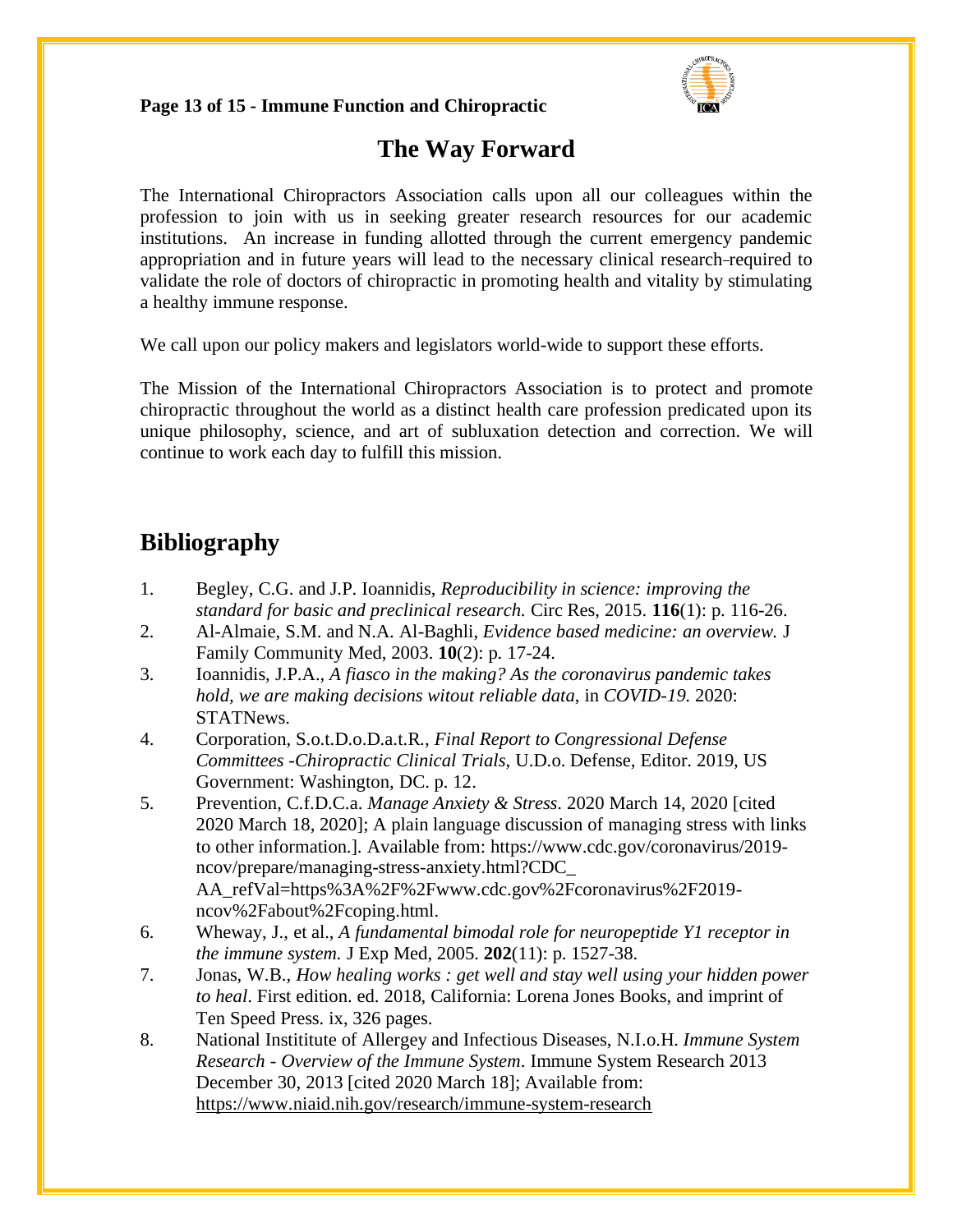### **Page 13 of 15 - Immune Function and Chiropractic**



### **The Way Forward**

The International Chiropractors Association calls upon all our colleagues within the profession to join with us in seeking greater research resources for our academic institutions. An increase in funding allotted through the current emergency pandemic appropriation and in future years will lead to the necessary clinical research required to validate the role of doctors of chiropractic in promoting health and vitality by stimulating a healthy immune response.

We call upon our policy makers and legislators world-wide to support these efforts.

The Mission of the International Chiropractors Association is to protect and promote chiropractic throughout the world as a distinct health care profession predicated upon its unique philosophy, science, and art of subluxation detection and correction. We will continue to work each day to fulfill this mission.

# **Bibliography**

- 1. Begley, C.G. and J.P. Ioannidis, *Reproducibility in science: improving the standard for basic and preclinical research.* Circ Res, 2015. **116**(1): p. 116-26.
- 2. Al-Almaie, S.M. and N.A. Al-Baghli, *Evidence based medicine: an overview.* J Family Community Med, 2003. **10**(2): p. 17-24.
- 3. Ioannidis, J.P.A., *A fiasco in the making? As the coronavirus pandemic takes hold, we are making decisions witout reliable data*, in *COVID-19*. 2020: STATNews.
- 4. Corporation, S.o.t.D.o.D.a.t.R., *Final Report to Congressional Defense Committees -Chiropractic Clinical Trials*, U.D.o. Defense, Editor. 2019, US Government: Washington, DC. p. 12.
- 5. Prevention, C.f.D.C.a. *Manage Anxiety & Stress*. 2020 March 14, 2020 [cited 2020 March 18, 2020]; A plain language discussion of managing stress with links to other information.]. Available from: https://www.cdc.gov/coronavirus/2019 ncov/prepare/managing-stress-anxiety.html?CDC\_ AA\_refVal=https%3A%2F%2Fwww.cdc.gov%2Fcoronavirus%2F2019 ncov%2Fabout%2Fcoping.html.
- 6. Wheway, J., et al., *A fundamental bimodal role for neuropeptide Y1 receptor in the immune system.* J Exp Med, 2005. **202**(11): p. 1527-38.
- 7. Jonas, W.B., *How healing works : get well and stay well using your hidden power to heal*. First edition. ed. 2018, California: Lorena Jones Books, and imprint of Ten Speed Press. ix, 326 pages.
- 8. National Instititute of Allergey and Infectious Diseases, N.I.o.H. *Immune System Research - Overview of the Immune System*. Immune System Research 2013 December 30, 2013 [cited 2020 March 18]; Available from: <https://www.niaid.nih.gov/research/immune-system-research>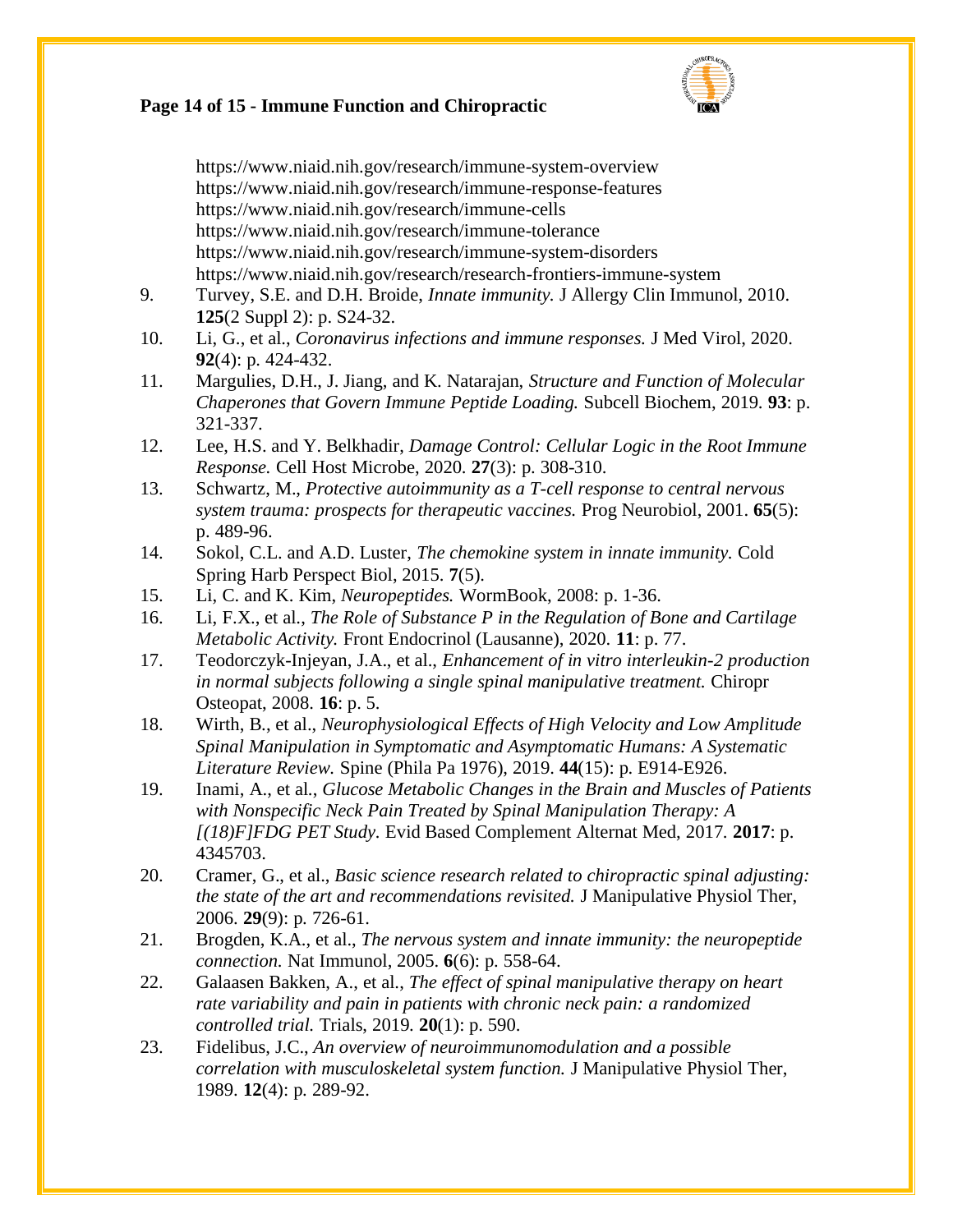

# **Page 14 of 15 - Immune Function and Chiropractic**

|     | https://www.niaid.nih.gov/research/immune-system-overview<br>https://www.niaid.nih.gov/research/immune-response-features<br>https://www.niaid.nih.gov/research/immune-cells<br>https://www.niaid.nih.gov/research/immune-tolerance<br>https://www.niaid.nih.gov/research/immune-system-disorders |
|-----|--------------------------------------------------------------------------------------------------------------------------------------------------------------------------------------------------------------------------------------------------------------------------------------------------|
| 9.  | https://www.niaid.nih.gov/research/research-frontiers-immune-system<br>Turvey, S.E. and D.H. Broide, Innate immunity. J Allergy Clin Immunol, 2010.<br>125(2 Suppl 2): p. S24-32.                                                                                                                |
| 10. | Li, G., et al., Coronavirus infections and immune responses. J Med Virol, 2020.<br>92(4): p. 424-432.                                                                                                                                                                                            |
| 11. | Margulies, D.H., J. Jiang, and K. Natarajan, Structure and Function of Molecular<br>Chaperones that Govern Immune Peptide Loading. Subcell Biochem, 2019. 93: p.<br>321-337.                                                                                                                     |
| 12. | Lee, H.S. and Y. Belkhadir, Damage Control: Cellular Logic in the Root Immune<br>Response. Cell Host Microbe, 2020. 27(3): p. 308-310.                                                                                                                                                           |
| 13. | Schwartz, M., Protective autoimmunity as a T-cell response to central nervous<br>system trauma: prospects for therapeutic vaccines. Prog Neurobiol, 2001. 65(5):<br>p. 489-96.                                                                                                                   |
| 14. | Sokol, C.L. and A.D. Luster, The chemokine system in innate immunity. Cold<br>Spring Harb Perspect Biol, 2015. 7(5).                                                                                                                                                                             |
| 15. | Li, C. and K. Kim, Neuropeptides. WormBook, 2008: p. 1-36.                                                                                                                                                                                                                                       |
| 16. | Li, F.X., et al., The Role of Substance P in the Regulation of Bone and Cartilage<br>Metabolic Activity. Front Endocrinol (Lausanne), 2020. 11: p. 77.                                                                                                                                           |
| 17. | Teodorczyk-Injeyan, J.A., et al., Enhancement of in vitro interleukin-2 production<br>in normal subjects following a single spinal manipulative treatment. Chiropr<br>Osteopat, 2008. <b>16</b> : p. 5.                                                                                          |
| 18. | Wirth, B., et al., Neurophysiological Effects of High Velocity and Low Amplitude<br>Spinal Manipulation in Symptomatic and Asymptomatic Humans: A Systematic<br>Literature Review. Spine (Phila Pa 1976), 2019. 44(15): p. E914-E926.                                                            |
| 19. | Inami, A., et al., Glucose Metabolic Changes in the Brain and Muscles of Patients<br>with Nonspecific Neck Pain Treated by Spinal Manipulation Therapy: A<br>[(18)F]FDG PET Study. Evid Based Complement Alternat Med, 2017. 2017: p.<br>4345703.                                                |
| 20. | Cramer, G., et al., Basic science research related to chiropractic spinal adjusting:<br>the state of the art and recommendations revisited. J Manipulative Physiol Ther,<br>2006. 29(9): p. 726-61.                                                                                              |
| 21. | Brogden, K.A., et al., The nervous system and innate immunity: the neuropeptide<br>connection. Nat Immunol, 2005. 6(6): p. 558-64.                                                                                                                                                               |
| 22. | Galaasen Bakken, A., et al., The effect of spinal manipulative therapy on heart<br>rate variability and pain in patients with chronic neck pain: a randomized<br>controlled trial. Trials, $2019. 20(1)$ : p. 590.                                                                               |
| 23. | Fidelibus, J.C., An overview of neuroimmunomodulation and a possible<br>correlation with musculoskeletal system function. J Manipulative Physiol Ther,<br>1989. 12(4): p. 289-92.                                                                                                                |